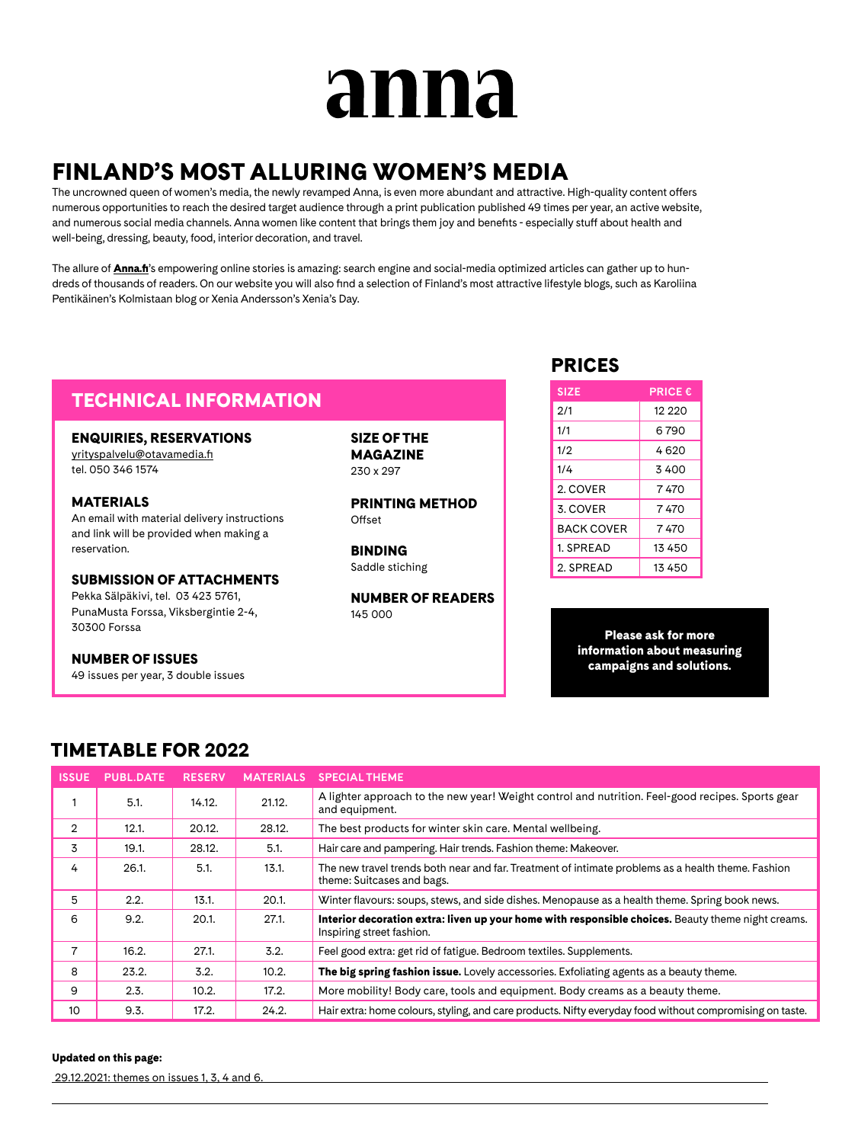# anna

# FINLAND'S MOST ALLURING WOMEN'S MEDIA

The uncrowned queen of women's media, the newly revamped Anna, is even more abundant and attractive. High-quality content offers numerous opportunities to reach the desired target audience through a print publication published 49 times per year, an active website, and numerous social media channels. Anna women like content that brings them joy and benefits - especially stuff about health and well-being, dressing, beauty, food, interior decoration, and travel.

The allure of **[Anna.fi](http://Anna.fi)**'s empowering online stories is amazing: search engine and social-media optimized articles can gather up to hundreds of thousands of readers. On our website you will also find a selection of Finland's most attractive lifestyle blogs, such as Karoliina Pentikäinen's Kolmistaan blog or Xenia Andersson's Xenia's Day.

## TECHNICAL INFORMATION

### ENQUIRIES, RESERVATIONS

[yrityspalvelu@otavamedia.fi](mailto:yrityspalvelu%40otavamedia.fi?subject=) tel. 050 346 1574

MATERIALS An email with material delivery instructions and link will be provided when making a reservation.

SUBMISSION OF ATTACHMENTS

Pekka Sälpäkivi, tel. 03 423 5761, PunaMusta Forssa, Viksbergintie 2-4, 30300 Forssa

NUMBER OF ISSUES

49 issues per year, 3 double issues

SIZE OF THE MAGAZINE 230 x 297

PRINTING METHOD Offset

BINDING Saddle stiching

NUMBER OF READERS 145 000

## PRICES

| <b>SIZE</b>       | <b>PRICE €</b> |
|-------------------|----------------|
| 2/1               | 12 220         |
| 1/1               | 6790           |
| 1/2               | 4620           |
| 1/4               | 3400           |
| 2. COVER          | 7 470          |
| 3. COVER          | 7 470          |
| <b>BACK COVER</b> | 7 470          |
| 1. SPREAD         | 13 450         |
| 2. SPREAD         | 13 450         |

Please ask for more information about measuring campaigns and solutions.

## TIMETABLE FOR 2022

| <b>ISSUE</b>   | <b>PUBL.DATE</b> | <b>RESERV</b> | <b>MATERIALS</b> | <b>SPECIAL THEME</b>                                                                                                             |
|----------------|------------------|---------------|------------------|----------------------------------------------------------------------------------------------------------------------------------|
|                | 5.1.             | 14.12.        | 21.12.           | A lighter approach to the new year! Weight control and nutrition. Feel-good recipes. Sports gear<br>and equipment.               |
| $\overline{2}$ | 12.1.            | 20.12.        | 28.12.           | The best products for winter skin care. Mental wellbeing.                                                                        |
| 3              | 19.1.            | 28.12.        | 5.1.             | Hair care and pampering. Hair trends. Fashion theme: Makeover.                                                                   |
| 4              | 26.1.            | 5.1.          | 13.1.            | The new travel trends both near and far. Treatment of intimate problems as a health theme. Fashion<br>theme: Suitcases and bags. |
| 5              | 2.2.             | 13.1.         | 20.1.            | Winter flavours: soups, stews, and side dishes. Menopause as a health theme. Spring book news.                                   |
| 6              | 9.2.             | 20.1.         | 27.1.            | Interior decoration extra: liven up your home with responsible choices. Beauty theme night creams.<br>Inspiring street fashion.  |
| 7              | 16.2.            | 27.1.         | 3.2.             | Feel good extra: get rid of fatigue. Bedroom textiles. Supplements.                                                              |
| 8              | 23.2.            | 3.2.          | 10.2.            | The big spring fashion issue. Lovely accessories. Exfoliating agents as a beauty theme.                                          |
| 9              | 2.3.             | 10.2.         | 17.2.            | More mobility! Body care, tools and equipment. Body creams as a beauty theme.                                                    |
| 10             | 9.3.             | 17.2.         | 24.2.            | Hair extra: home colours, styling, and care products. Nifty everyday food without compromising on taste.                         |

#### Updated on this page:

29.12.2021: themes on issues 1, 3, 4 and 6.